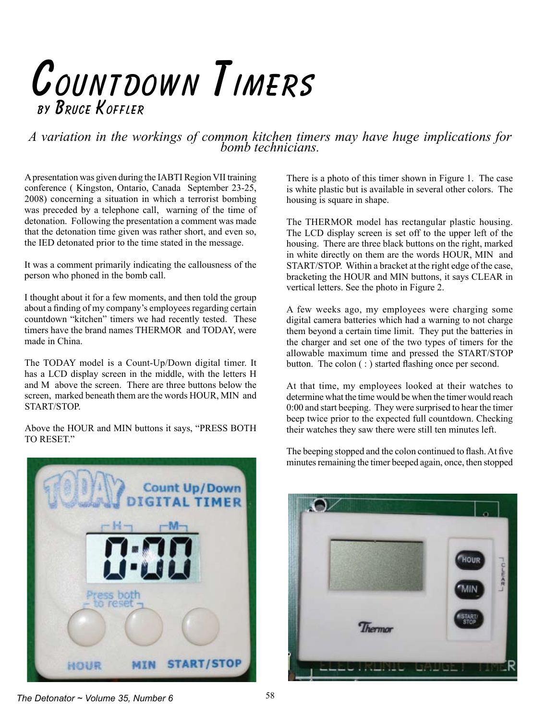## Countdown Timers BY BRUCE KOFFLER

*A variation in the workings of common kitchen timers may have huge implications for bomb technicians.*

Apresentation was given during the IABTI Region VII training conference ( Kingston, Ontario, Canada September 23-25, 2008) concerning a situation in which a terrorist bombing was preceded by a telephone call, warning of the time of detonation. Following the presentation a comment was made that the detonation time given was rather short, and even so, the IED detonated prior to the time stated in the message.

It was a comment primarily indicating the callousness of the person who phoned in the bomb call.

I thought about it for a few moments, and then told the group about a finding of my company's employees regarding certain countdown "kitchen" timers we had recently tested. These timers have the brand names THERMOR and TODAY, were made in China.

The TODAY model is a Count-Up/Down digital timer. It has a LCD display screen in the middle, with the letters H and M above the screen. There are three buttons below the screen, marked beneath them are the words HOUR, MIN and START/STOP.

Above the HOUR and MIN buttons it says, "PRESS BOTH TO RESET."



There is a photo of this timer shown in Figure 1. The case is white plastic but is available in several other colors. The housing is square in shape.

The THERMOR model has rectangular plastic housing. The LCD display screen is set off to the upper left of the housing. There are three black buttons on the right, marked in white directly on them are the words HOUR, MIN and START/STOP. Within a bracket at the right edge of the case, bracketing the HOUR and MIN buttons, it says CLEAR in vertical letters. See the photo in Figure 2.

A few weeks ago, my employees were charging some digital camera batteries which had a warning to not charge them beyond a certain time limit. They put the batteries in the charger and set one of the two types of timers for the allowable maximum time and pressed the START/STOP button. The colon ( : ) started flashing once per second.

At that time, my employees looked at their watches to determine what the time would be when the timer would reach 0:00 and start beeping. They were surprised to hear the timer beep twice prior to the expected full countdown. Checking their watches they saw there were still ten minutes left.

The beeping stopped and the colon continued to flash. At five minutes remaining the timer beeped again, once, then stopped



*The Detonator ~ Volume 35, Number 6*  $58$